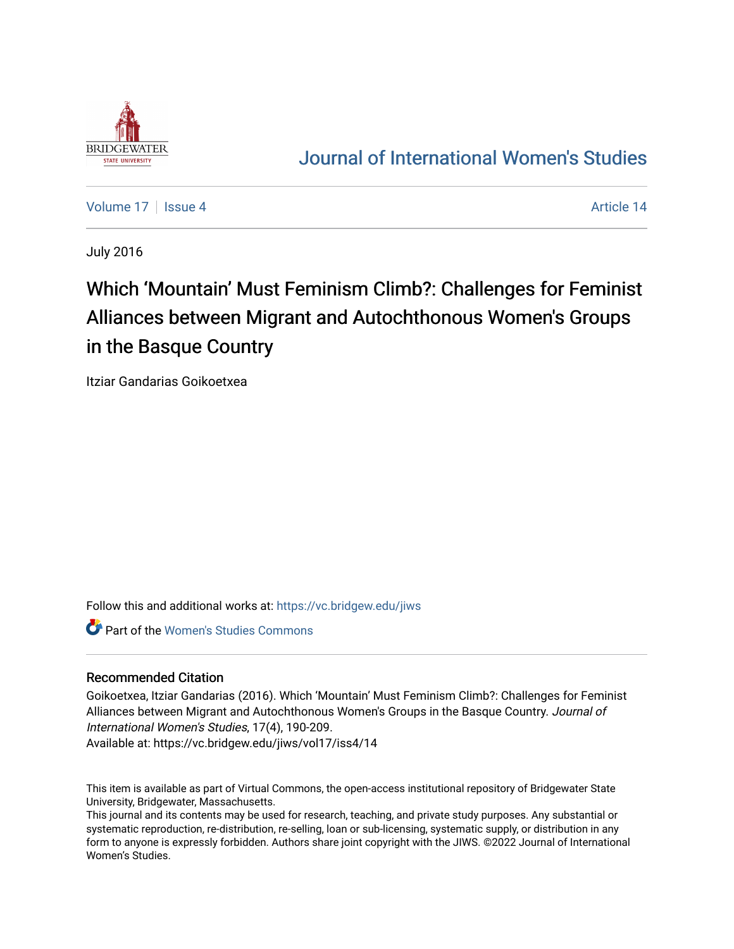

# [Journal of International Women's Studies](https://vc.bridgew.edu/jiws)

[Volume 17](https://vc.bridgew.edu/jiws/vol17) Sexue 4 Article 14

July 2016

# Which 'Mountain' Must Feminism Climb?: Challenges for Feminist Alliances between Migrant and Autochthonous Women's Groups in the Basque Country

Itziar Gandarias Goikoetxea

Follow this and additional works at: [https://vc.bridgew.edu/jiws](https://vc.bridgew.edu/jiws?utm_source=vc.bridgew.edu%2Fjiws%2Fvol17%2Fiss4%2F14&utm_medium=PDF&utm_campaign=PDFCoverPages)

Part of the [Women's Studies Commons](http://network.bepress.com/hgg/discipline/561?utm_source=vc.bridgew.edu%2Fjiws%2Fvol17%2Fiss4%2F14&utm_medium=PDF&utm_campaign=PDFCoverPages) 

#### Recommended Citation

Goikoetxea, Itziar Gandarias (2016). Which 'Mountain' Must Feminism Climb?: Challenges for Feminist Alliances between Migrant and Autochthonous Women's Groups in the Basque Country. Journal of International Women's Studies, 17(4), 190-209.

Available at: https://vc.bridgew.edu/jiws/vol17/iss4/14

This item is available as part of Virtual Commons, the open-access institutional repository of Bridgewater State University, Bridgewater, Massachusetts.

This journal and its contents may be used for research, teaching, and private study purposes. Any substantial or systematic reproduction, re-distribution, re-selling, loan or sub-licensing, systematic supply, or distribution in any form to anyone is expressly forbidden. Authors share joint copyright with the JIWS. ©2022 Journal of International Women's Studies.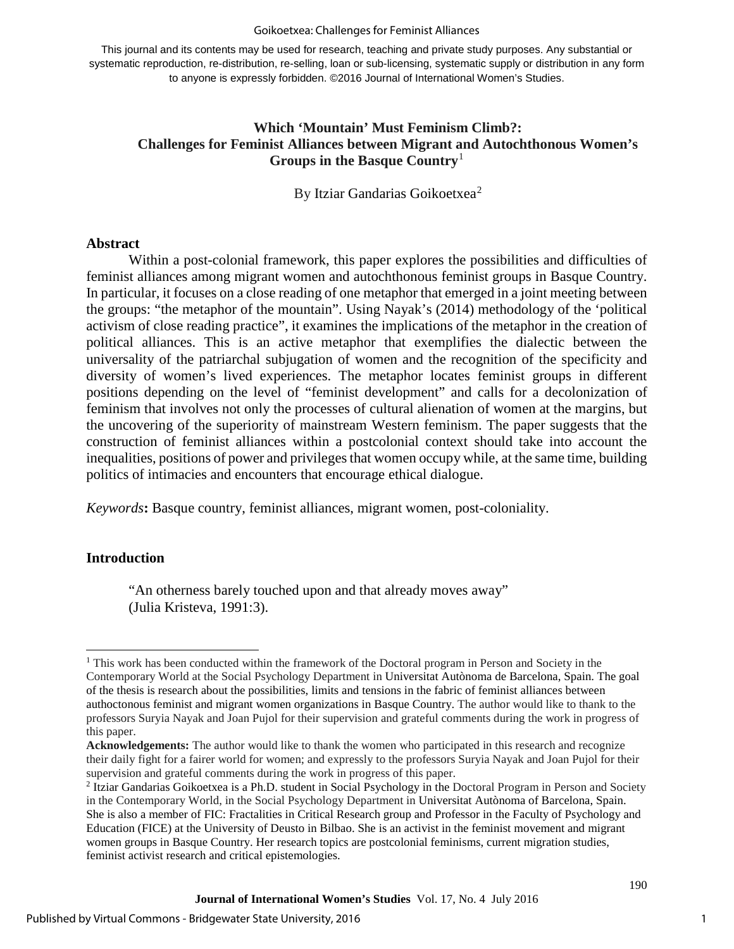#### Goikoetxea: Challenges for Feminist Alliances

This journal and its contents may be used for research, teaching and private study purposes. Any substantial or systematic reproduction, re-distribution, re-selling, loan or sub-licensing, systematic supply or distribution in any form to anyone is expressly forbidden. ©2016 Journal of International Women's Studies.

# **Which 'Mountain' Must Feminism Climb?: Challenges for Feminist Alliances between Migrant and Autochthonous Women's Groups in the Basque Country**[1](#page-1-0)

By Itziar Gandarias Goikoetxea<sup>[2](#page-1-1)</sup>

#### **Abstract**

Within a post-colonial framework, this paper explores the possibilities and difficulties of feminist alliances among migrant women and autochthonous feminist groups in Basque Country. In particular, it focuses on a close reading of one metaphor that emerged in a joint meeting between the groups: "the metaphor of the mountain". Using Nayak's (2014) methodology of the 'political activism of close reading practice", it examines the implications of the metaphor in the creation of political alliances. This is an active metaphor that exemplifies the dialectic between the universality of the patriarchal subjugation of women and the recognition of the specificity and diversity of women's lived experiences. The metaphor locates feminist groups in different positions depending on the level of "feminist development" and calls for a decolonization of feminism that involves not only the processes of cultural alienation of women at the margins, but the uncovering of the superiority of mainstream Western feminism. The paper suggests that the construction of feminist alliances within a postcolonial context should take into account the inequalities, positions of power and privileges that women occupy while, at the same time, building politics of intimacies and encounters that encourage ethical dialogue.

*Keywords***:** Basque country, feminist alliances, migrant women, post-coloniality.

#### **Introduction**

 $\overline{a}$ 

"An otherness barely touched upon and that already moves away" (Julia Kristeva, 1991:3).

<span id="page-1-0"></span><sup>&</sup>lt;sup>1</sup> This work has been conducted within the framework of the Doctoral program in Person and Society in the Contemporary World at the Social Psychology Department in Universitat Autònoma de Barcelona, Spain. The goal of the thesis is research about the possibilities, limits and tensions in the fabric of feminist alliances between authoctonous feminist and migrant women organizations in Basque Country. The author would like to thank to the professors Suryia Nayak and Joan Pujol for their supervision and grateful comments during the work in progress of this paper.

**Acknowledgements:** The author would like to thank the women who participated in this research and recognize their daily fight for a fairer world for women; and expressly to the professors Suryia Nayak and Joan Pujol for their supervision and grateful comments during the work in progress of this paper.

<span id="page-1-1"></span><sup>2</sup> Itziar Gandarias Goikoetxea is a Ph.D. student in Social Psychology in the Doctoral Program in Person and Society in the Contemporary World, in the Social Psychology Department in Universitat Autònoma of Barcelona, Spain. She is also a member of FIC: Fractalities in Critical Research group and Professor in the Faculty of Psychology and Education (FICE) at the University of Deusto in Bilbao. She is an activist in the feminist movement and migrant women groups in Basque Country. Her research topics are postcolonial feminisms, current migration studies, feminist activist research and critical epistemologies.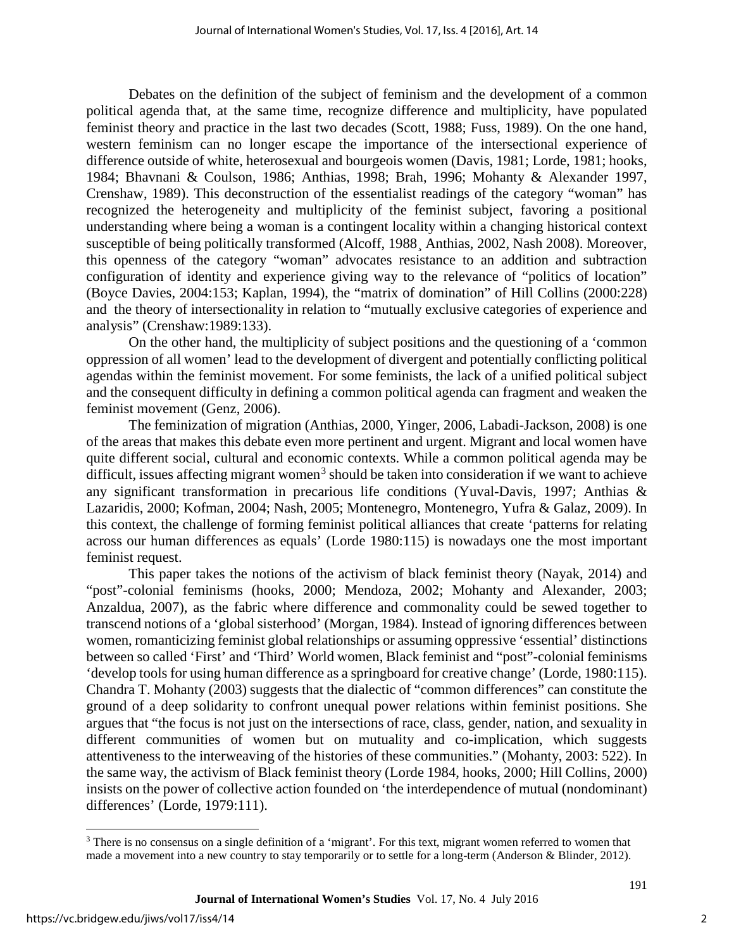Debates on the definition of the subject of feminism and the development of a common political agenda that, at the same time, recognize difference and multiplicity, have populated feminist theory and practice in the last two decades (Scott, 1988; Fuss, 1989). On the one hand, western feminism can no longer escape the importance of the intersectional experience of difference outside of white, heterosexual and bourgeois women (Davis, 1981; Lorde, 1981; hooks, 1984; Bhavnani & Coulson, 1986; Anthias, 1998; Brah, 1996; Mohanty & Alexander 1997, Crenshaw, 1989). This deconstruction of the essentialist readings of the category "woman" has recognized the heterogeneity and multiplicity of the feminist subject, favoring a positional understanding where being a woman is a contingent locality within a changing historical context susceptible of being politically transformed (Alcoff, 1988¸ Anthias, 2002, Nash 2008). Moreover, this openness of the category "woman" advocates resistance to an addition and subtraction configuration of identity and experience giving way to the relevance of "politics of location" (Boyce Davies, 2004:153; Kaplan, 1994), the "matrix of domination" of Hill Collins (2000:228) and the theory of intersectionality in relation to "mutually exclusive categories of experience and analysis" (Crenshaw:1989:133).

On the other hand, the multiplicity of subject positions and the questioning of a 'common oppression of all women' lead to the development of divergent and potentially conflicting political agendas within the feminist movement. For some feminists, the lack of a unified political subject and the consequent difficulty in defining a common political agenda can fragment and weaken the feminist movement (Genz, 2006).

The feminization of migration (Anthias, 2000, Yinger, 2006, Labadi-Jackson, 2008) is one of the areas that makes this debate even more pertinent and urgent. Migrant and local women have quite different social, cultural and economic contexts. While a common political agenda may be difficult, issues affecting migrant women<sup>[3](#page-2-0)</sup> should be taken into consideration if we want to achieve any significant transformation in precarious life conditions (Yuval-Davis, 1997; Anthias & Lazaridis, 2000; Kofman, 2004; Nash, 2005; Montenegro, Montenegro, Yufra & Galaz, 2009). In this context, the challenge of forming feminist political alliances that create 'patterns for relating across our human differences as equals' (Lorde 1980:115) is nowadays one the most important feminist request.

This paper takes the notions of the activism of black feminist theory (Nayak, 2014) and "post"-colonial feminisms (hooks, 2000; Mendoza, 2002; Mohanty and Alexander, 2003; Anzaldua, 2007), as the fabric where difference and commonality could be sewed together to transcend notions of a 'global sisterhood' (Morgan, 1984). Instead of ignoring differences between women, romanticizing feminist global relationships or assuming oppressive 'essential' distinctions between so called 'First' and 'Third' World women, Black feminist and "post"-colonial feminisms 'develop tools for using human difference as a springboard for creative change' (Lorde, 1980:115). Chandra T. Mohanty (2003) suggests that the dialectic of "common differences" can constitute the ground of a deep solidarity to confront unequal power relations within feminist positions. She argues that "the focus is not just on the intersections of race, class, gender, nation, and sexuality in different communities of women but on mutuality and co-implication, which suggests attentiveness to the interweaving of the histories of these communities." (Mohanty, 2003: 522). In the same way, the activism of Black feminist theory (Lorde 1984, hooks, 2000; Hill Collins, 2000) insists on the power of collective action founded on 'the interdependence of mutual (nondominant) differences' (Lorde, 1979:111).

<span id="page-2-0"></span> $\overline{a}$ <sup>3</sup> There is no consensus on a single definition of a 'migrant'. For this text, migrant women referred to women that made a movement into a new country to stay temporarily or to settle for a long-term (Anderson & Blinder, 2012).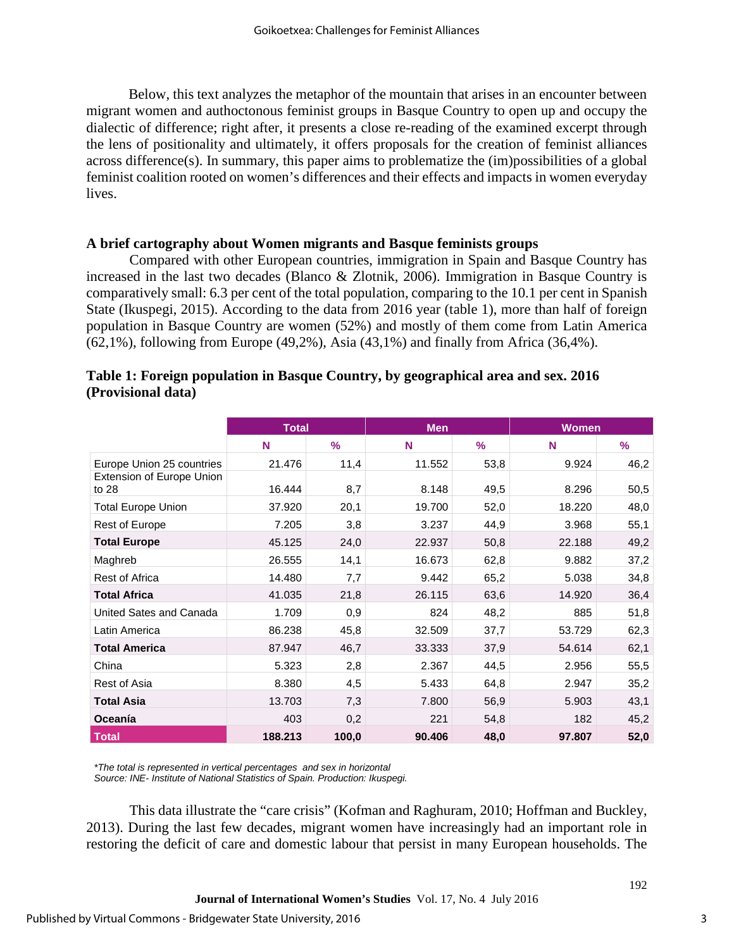Below, this text analyzes the metaphor of the mountain that arises in an encounter between migrant women and authoctonous feminist groups in Basque Country to open up and occupy the dialectic of difference; right after, it presents a close re-reading of the examined excerpt through the lens of positionality and ultimately, it offers proposals for the creation of feminist alliances across difference(s). In summary, this paper aims to problematize the (im)possibilities of a global feminist coalition rooted on women's differences and their effects and impacts in women everyday lives.

## **A brief cartography about Women migrants and Basque feminists groups**

Compared with other European countries, immigration in Spain and Basque Country has increased in the last two decades (Blanco & Zlotnik, 2006). Immigration in Basque Country is comparatively small: 6.3 per cent of the total population, comparing to the 10.1 per cent in Spanish State (Ikuspegi, 2015). According to the data from 2016 year (table 1), more than half of foreign population in Basque Country are women (52%) and mostly of them come from Latin America (62,1%), following from Europe (49,2%), Asia (43,1%) and finally from Africa (36,4%).

|                                    | <b>Total</b> |       | <b>Men</b> |               | <b>Women</b> |      |
|------------------------------------|--------------|-------|------------|---------------|--------------|------|
|                                    | N            | $\%$  | N          | $\frac{9}{6}$ | N            | $\%$ |
| Europe Union 25 countries          | 21.476       | 11,4  | 11.552     | 53,8          | 9.924        | 46,2 |
| Extension of Europe Union<br>to 28 | 16.444       | 8,7   | 8.148      | 49,5          | 8.296        | 50,5 |
| <b>Total Europe Union</b>          | 37.920       | 20,1  | 19.700     | 52,0          | 18.220       | 48,0 |
| Rest of Europe                     | 7.205        | 3,8   | 3.237      | 44,9          | 3.968        | 55,1 |
| <b>Total Europe</b>                | 45.125       | 24,0  | 22.937     | 50,8          | 22.188       | 49,2 |
| Maghreb                            | 26.555       | 14,1  | 16.673     | 62,8          | 9.882        | 37,2 |
| Rest of Africa                     | 14.480       | 7,7   | 9.442      | 65,2          | 5.038        | 34,8 |
| <b>Total Africa</b>                | 41.035       | 21,8  | 26.115     | 63,6          | 14.920       | 36,4 |
| United Sates and Canada            | 1.709        | 0,9   | 824        | 48,2          | 885          | 51,8 |
| Latin America                      | 86.238       | 45,8  | 32.509     | 37,7          | 53.729       | 62,3 |
| <b>Total America</b>               | 87.947       | 46,7  | 33.333     | 37,9          | 54.614       | 62,1 |
| China                              | 5.323        | 2,8   | 2.367      | 44,5          | 2.956        | 55,5 |
| Rest of Asia                       | 8.380        | 4,5   | 5.433      | 64,8          | 2.947        | 35,2 |
| <b>Total Asia</b>                  | 13.703       | 7,3   | 7.800      | 56,9          | 5.903        | 43,1 |
| Oceanía                            | 403          | 0,2   | 221        | 54,8          | 182          | 45,2 |
| <b>Total</b>                       | 188.213      | 100,0 | 90.406     | 48,0          | 97.807       | 52,0 |

# **Table 1: Foreign population in Basque Country, by geographical area and sex. 2016 (Provisional data)**

*\*The total is represented in vertical percentages and sex in horizontal Source: INE- Institute of National Statistics of Spain. Production: Ikuspegi.*

This data illustrate the "care crisis" (Kofman and Raghuram, 2010; Hoffman and Buckley, 2013). During the last few decades, migrant women have increasingly had an important role in restoring the deficit of care and domestic labour that persist in many European households. The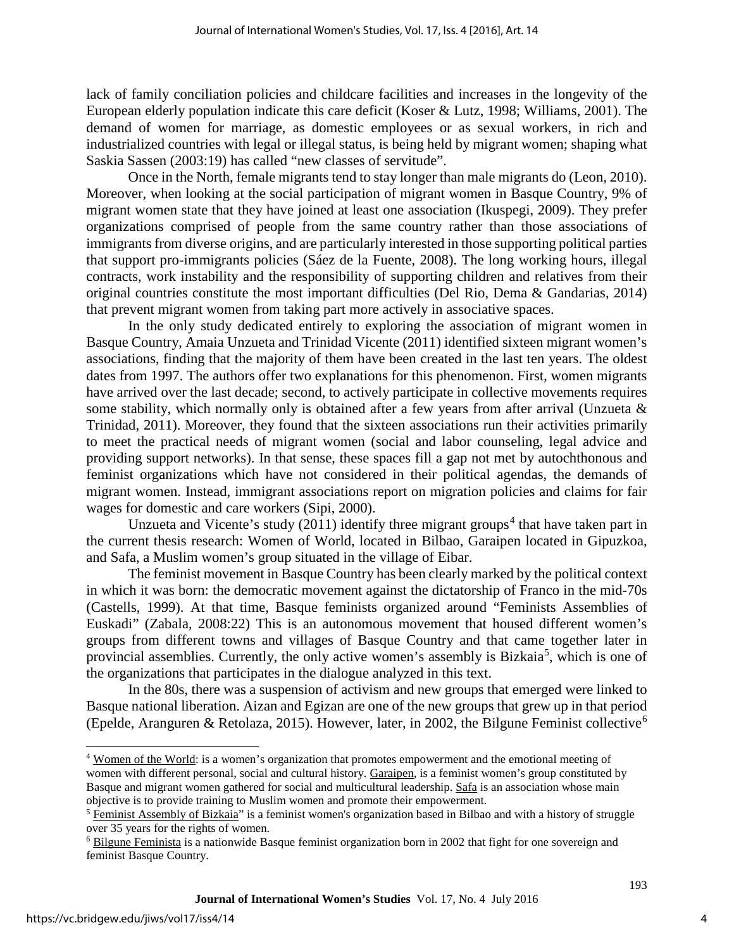lack of family conciliation policies and childcare facilities and increases in the longevity of the European elderly population indicate this care deficit (Koser & Lutz, 1998; Williams, 2001). The demand of women for marriage, as domestic employees or as sexual workers, in rich and industrialized countries with legal or illegal status, is being held by migrant women; shaping what Saskia Sassen (2003:19) has called "new classes of servitude".

Once in the North, female migrants tend to stay longer than male migrants do (Leon, 2010). Moreover, when looking at the social participation of migrant women in Basque Country, 9% of migrant women state that they have joined at least one association (Ikuspegi, 2009). They prefer organizations comprised of people from the same country rather than those associations of immigrants from diverse origins, and are particularly interested in those supporting political parties that support pro-immigrants policies (Sáez de la Fuente, 2008). The long working hours, illegal contracts, work instability and the responsibility of supporting children and relatives from their original countries constitute the most important difficulties (Del Rio, Dema & Gandarias, 2014) that prevent migrant women from taking part more actively in associative spaces.

In the only study dedicated entirely to exploring the association of migrant women in Basque Country, Amaia Unzueta and Trinidad Vicente (2011) identified sixteen migrant women's associations, finding that the majority of them have been created in the last ten years. The oldest dates from 1997. The authors offer two explanations for this phenomenon. First, women migrants have arrived over the last decade; second, to actively participate in collective movements requires some stability, which normally only is obtained after a few years from after arrival (Unzueta & Trinidad, 2011). Moreover, they found that the sixteen associations run their activities primarily to meet the practical needs of migrant women (social and labor counseling, legal advice and providing support networks). In that sense, these spaces fill a gap not met by autochthonous and feminist organizations which have not considered in their political agendas, the demands of migrant women. Instead, immigrant associations report on migration policies and claims for fair wages for domestic and care workers (Sipi, 2000).

Unzueta and Vicente's study (2011) identify three migrant groups<sup>[4](#page-4-0)</sup> that have taken part in the current thesis research: Women of World, located in Bilbao, Garaipen located in Gipuzkoa, and Safa, a Muslim women's group situated in the village of Eibar.

The feminist movement in Basque Country has been clearly marked by the political context in which it was born: the democratic movement against the dictatorship of Franco in the mid-70s (Castells, 1999). At that time, Basque feminists organized around "Feminists Assemblies of Euskadi" (Zabala, 2008:22) This is an autonomous movement that housed different women's groups from different towns and villages of Basque Country and that came together later in provincial assemblies. Currently, the only active women's assembly is Bizkaia<sup>[5](#page-4-1)</sup>, which is one of the organizations that participates in the dialogue analyzed in this text.

In the 80s, there was a suspension of activism and new groups that emerged were linked to Basque national liberation. Aizan and Egizan are one of the new groups that grew up in that period (Epelde, Aranguren & Retolaza, 2015). However, later, in 2002, the Bilgune Feminist collective<sup>[6](#page-4-2)</sup>

 $\overline{a}$ 

<span id="page-4-0"></span><sup>4</sup> [Women of the World:](http://mujeresdelmundobabel.org/) is a women's organization that promotes empowerment and the emotional meeting of women with different personal, social and cultural history. [Garaipen,](http://asociaciongaraipen.blogspot.com.es/) is a feminist women's group constituted by Basque and migrant women gathered for social and multicultural leadership. [Safa](https://www.facebook.com/asociacionmujeresmusulmanassafa) is an association whose main objective is to provide training to Muslim women and promote their empowerment.

<span id="page-4-1"></span><sup>5</sup> [Feminist Assembly of Bizkaia"](https://www.facebook.com/ambbea) is a feminist women's organization based in Bilbao and with a history of struggle over 35 years for the rights of women.

<span id="page-4-2"></span><sup>&</sup>lt;sup>6</sup> [Bilgune Feminista](http://bilgunefeminista.eus/eu/ENG) is a nationwide Basque feminist organization born in 2002 that fight for one sovereign and feminist Basque Country.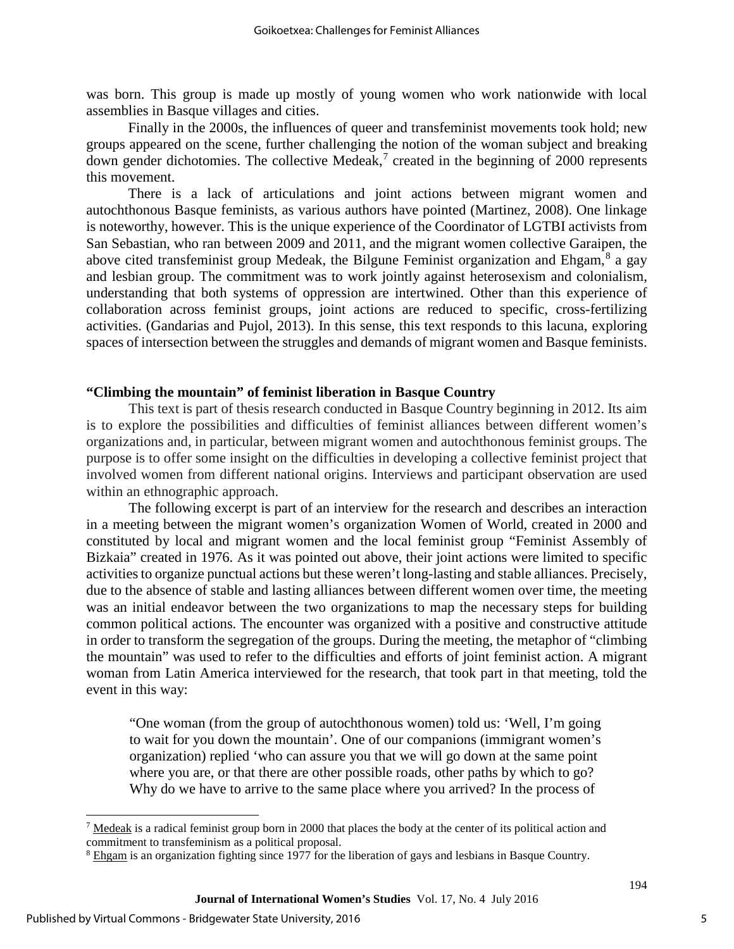was born. This group is made up mostly of young women who work nationwide with local assemblies in Basque villages and cities.

Finally in the 2000s, the influences of queer and transfeminist movements took hold; new groups appeared on the scene, further challenging the notion of the woman subject and breaking down gender dichotomies. The collective Medeak, [7](#page-5-0) created in the beginning of 2000 represents this movement.

There is a lack of articulations and joint actions between migrant women and autochthonous Basque feminists, as various authors have pointed (Martinez, 2008). One linkage is noteworthy, however. This is the unique experience of the Coordinator of LGTBI activists from San Sebastian, who ran between 2009 and 2011, and the migrant women collective Garaipen, the above cited transfeminist group Medeak, the Bilgune Feminist organization and Ehgam,<sup>[8](#page-5-1)</sup> a gay and lesbian group. The commitment was to work jointly against heterosexism and colonialism, understanding that both systems of oppression are intertwined. Other than this experience of collaboration across feminist groups, joint actions are reduced to specific, cross-fertilizing activities. (Gandarias and Pujol, 2013). In this sense, this text responds to this lacuna, exploring spaces of intersection between the struggles and demands of migrant women and Basque feminists.

#### **"Climbing the mountain" of feminist liberation in Basque Country**

This text is part of thesis research conducted in Basque Country beginning in 2012. Its aim is to explore the possibilities and difficulties of feminist alliances between different women's organizations and, in particular, between migrant women and autochthonous feminist groups. The purpose is to offer some insight on the difficulties in developing a collective feminist project that involved women from different national origins. Interviews and participant observation are used within an ethnographic approach.

The following excerpt is part of an interview for the research and describes an interaction in a meeting between the migrant women's organization Women of World, created in 2000 and constituted by local and migrant women and the local feminist group "Feminist Assembly of Bizkaia" created in 1976. As it was pointed out above, their joint actions were limited to specific activities to organize punctual actions but these weren't long-lasting and stable alliances. Precisely, due to the absence of stable and lasting alliances between different women over time, the meeting was an initial endeavor between the two organizations to map the necessary steps for building common political actions. The encounter was organized with a positive and constructive attitude in order to transform the segregation of the groups. During the meeting, the metaphor of "climbing the mountain" was used to refer to the difficulties and efforts of joint feminist action. A migrant woman from Latin America interviewed for the research, that took part in that meeting, told the event in this way:

"One woman (from the group of autochthonous women) told us: 'Well, I'm going to wait for you down the mountain'. One of our companions (immigrant women's organization) replied 'who can assure you that we will go down at the same point where you are, or that there are other possible roads, other paths by which to go? Why do we have to arrive to the same place where you arrived? In the process of

<span id="page-5-0"></span> $\overline{a}$ <sup>7</sup> [Medeak](https://medeak.wordpress.com/) is a radical feminist group born in 2000 that places the body at the center of its political action and commitment to transfeminism as a political proposal.

<span id="page-5-1"></span><sup>&</sup>lt;sup>8</sup> [Ehgam](http://ehgam2010.blogspot.com.es/) is an organization fighting since 1977 for the liberation of gays and lesbians in Basque Country.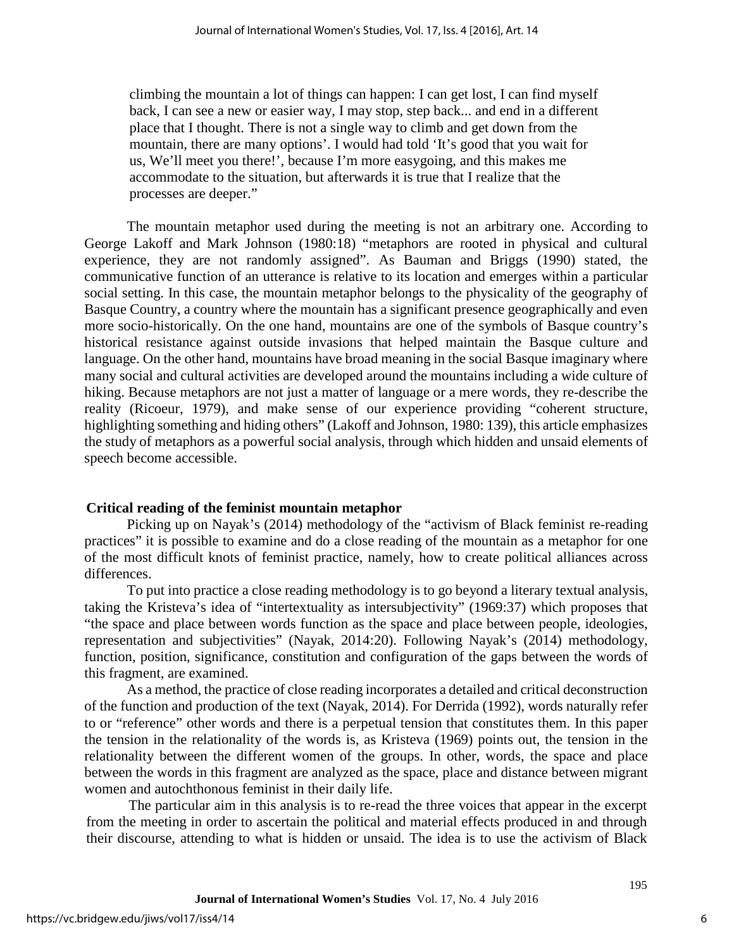climbing the mountain a lot of things can happen: I can get lost, I can find myself back, I can see a new or easier way, I may stop, step back... and end in a different place that I thought. There is not a single way to climb and get down from the mountain, there are many options'. I would had told 'It's good that you wait for us, We'll meet you there!', because I'm more easygoing, and this makes me accommodate to the situation, but afterwards it is true that I realize that the processes are deeper."

The mountain metaphor used during the meeting is not an arbitrary one. According to George Lakoff and Mark Johnson (1980:18) "metaphors are rooted in physical and cultural experience, they are not randomly assigned". As Bauman and Briggs (1990) stated, the communicative function of an utterance is relative to its location and emerges within a particular social setting. In this case, the mountain metaphor belongs to the physicality of the geography of Basque Country, a country where the mountain has a significant presence geographically and even more socio-historically. On the one hand, mountains are one of the symbols of Basque country's historical resistance against outside invasions that helped maintain the Basque culture and language. On the other hand, mountains have broad meaning in the social Basque imaginary where many social and cultural activities are developed around the mountains including a wide culture of hiking. Because metaphors are not just a matter of language or a mere words, they re-describe the reality (Ricoeur, 1979), and make sense of our experience providing "coherent structure, highlighting something and hiding others" (Lakoff and Johnson, 1980: 139), this article emphasizes the study of metaphors as a powerful social analysis, through which hidden and unsaid elements of speech become accessible.

# **Critical reading of the feminist mountain metaphor**

Picking up on Nayak's (2014) methodology of the "activism of Black feminist re-reading practices" it is possible to examine and do a close reading of the mountain as a metaphor for one of the most difficult knots of feminist practice, namely, how to create political alliances across differences.

To put into practice a close reading methodology is to go beyond a literary textual analysis, taking the Kristeva's idea of "intertextuality as intersubjectivity" (1969:37) which proposes that "the space and place between words function as the space and place between people, ideologies, representation and subjectivities" (Nayak, 2014:20). Following Nayak's (2014) methodology, function, position, significance, constitution and configuration of the gaps between the words of this fragment, are examined.

As a method, the practice of close reading incorporates a detailed and critical deconstruction of the function and production of the text (Nayak, 2014). For Derrida (1992), words naturally refer to or "reference" other words and there is a perpetual tension that constitutes them. In this paper the tension in the relationality of the words is, as Kristeva (1969) points out, the tension in the relationality between the different women of the groups. In other, words, the space and place between the words in this fragment are analyzed as the space, place and distance between migrant women and autochthonous feminist in their daily life.

The particular aim in this analysis is to re-read the three voices that appear in the excerpt from the meeting in order to ascertain the political and material effects produced in and through their discourse, attending to what is hidden or unsaid. The idea is to use the activism of Black

6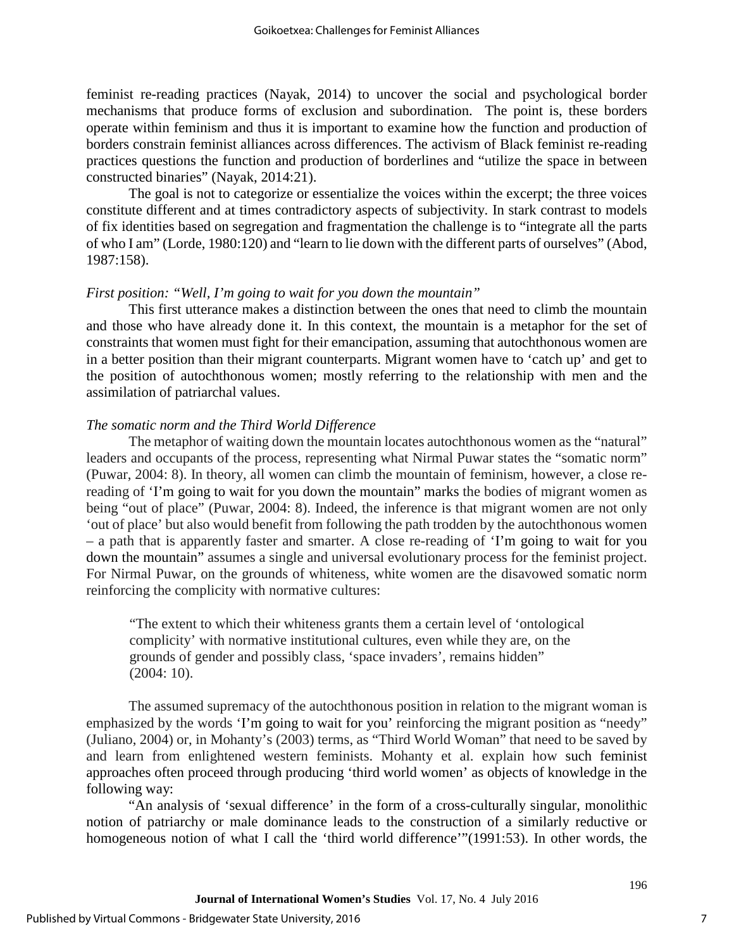feminist re-reading practices (Nayak, 2014) to uncover the social and psychological border mechanisms that produce forms of exclusion and subordination. The point is, these borders operate within feminism and thus it is important to examine how the function and production of borders constrain feminist alliances across differences. The activism of Black feminist re-reading practices questions the function and production of borderlines and "utilize the space in between constructed binaries" (Nayak, 2014:21).

The goal is not to categorize or essentialize the voices within the excerpt; the three voices constitute different and at times contradictory aspects of subjectivity. In stark contrast to models of fix identities based on segregation and fragmentation the challenge is to "integrate all the parts of who I am" (Lorde, 1980:120) and "learn to lie down with the different parts of ourselves" (Abod, 1987:158).

#### *First position: "Well, I'm going to wait for you down the mountain"*

This first utterance makes a distinction between the ones that need to climb the mountain and those who have already done it. In this context, the mountain is a metaphor for the set of constraints that women must fight for their emancipation, assuming that autochthonous women are in a better position than their migrant counterparts. Migrant women have to 'catch up' and get to the position of autochthonous women; mostly referring to the relationship with men and the assimilation of patriarchal values.

## *The somatic norm and the Third World Difference*

The metaphor of waiting down the mountain locates autochthonous women as the "natural" leaders and occupants of the process, representing what Nirmal Puwar states the "somatic norm" (Puwar, 2004: 8). In theory, all women can climb the mountain of feminism, however, a close rereading of 'I'm going to wait for you down the mountain" marks the bodies of migrant women as being "out of place" (Puwar, 2004: 8). Indeed, the inference is that migrant women are not only 'out of place' but also would benefit from following the path trodden by the autochthonous women – a path that is apparently faster and smarter. A close re-reading of 'I'm going to wait for you down the mountain" assumes a single and universal evolutionary process for the feminist project. For Nirmal Puwar, on the grounds of whiteness, white women are the disavowed somatic norm reinforcing the complicity with normative cultures:

"The extent to which their whiteness grants them a certain level of 'ontological complicity' with normative institutional cultures, even while they are, on the grounds of gender and possibly class, 'space invaders', remains hidden" (2004: 10).

The assumed supremacy of the autochthonous position in relation to the migrant woman is emphasized by the words 'I'm going to wait for you' reinforcing the migrant position as "needy" (Juliano, 2004) or, in Mohanty's (2003) terms, as "Third World Woman" that need to be saved by and learn from enlightened western feminists. Mohanty et al. explain how such feminist approaches often proceed through producing 'third world women' as objects of knowledge in the following way:

"An analysis of 'sexual difference' in the form of a cross-culturally singular, monolithic notion of patriarchy or male dominance leads to the construction of a similarly reductive or homogeneous notion of what I call the 'third world difference'"(1991:53). In other words, the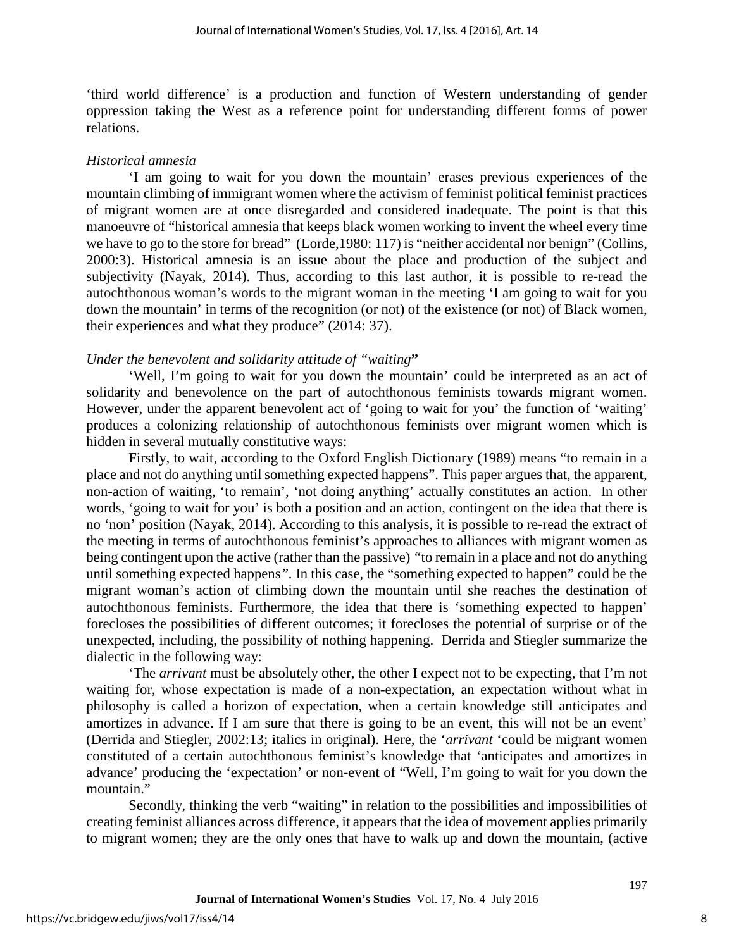'third world difference' is a production and function of Western understanding of gender oppression taking the West as a reference point for understanding different forms of power relations.

## *Historical amnesia*

'I am going to wait for you down the mountain' erases previous experiences of the mountain climbing of immigrant women where the activism of feminist political feminist practices of migrant women are at once disregarded and considered inadequate. The point is that this manoeuvre of "historical amnesia that keeps black women working to invent the wheel every time we have to go to the store for bread" (Lorde, 1980: 117) is "neither accidental nor benign" (Collins, 2000:3). Historical amnesia is an issue about the place and production of the subject and subjectivity (Nayak, 2014). Thus, according to this last author, it is possible to re-read the autochthonous woman's words to the migrant woman in the meeting 'I am going to wait for you down the mountain' in terms of the recognition (or not) of the existence (or not) of Black women, their experiences and what they produce" (2014: 37).

# *Under the benevolent and solidarity attitude of "waiting***"**

'Well, I'm going to wait for you down the mountain' could be interpreted as an act of solidarity and benevolence on the part of autochthonous feminists towards migrant women. However, under the apparent benevolent act of 'going to wait for you' the function of 'waiting' produces a colonizing relationship of autochthonous feminists over migrant women which is hidden in several mutually constitutive ways:

Firstly, to wait, according to the Oxford English Dictionary (1989) means "to remain in a place and not do anything until something expected happens". This paper argues that, the apparent, non-action of waiting, 'to remain', 'not doing anything' actually constitutes an action. In other words, 'going to wait for you' is both a position and an action, contingent on the idea that there is no 'non' position (Nayak, 2014). According to this analysis, it is possible to re-read the extract of the meeting in terms of autochthonous feminist's approaches to alliances with migrant women as being contingent upon the active (rather than the passive) *"*to remain in a place and not do anything until something expected happens*".* In this case, the "something expected to happen" could be the migrant woman's action of climbing down the mountain until she reaches the destination of autochthonous feminists. Furthermore, the idea that there is 'something expected to happen' forecloses the possibilities of different outcomes; it forecloses the potential of surprise or of the unexpected, including, the possibility of nothing happening. Derrida and Stiegler summarize the dialectic in the following way:

'The *arrivant* must be absolutely other, the other I expect not to be expecting, that I'm not waiting for, whose expectation is made of a non-expectation, an expectation without what in philosophy is called a horizon of expectation, when a certain knowledge still anticipates and amortizes in advance. If I am sure that there is going to be an event, this will not be an event' (Derrida and Stiegler, 2002:13; italics in original). Here, the '*arrivant* 'could be migrant women constituted of a certain autochthonous feminist's knowledge that 'anticipates and amortizes in advance' producing the 'expectation' or non-event of "Well, I'm going to wait for you down the mountain."

Secondly, thinking the verb "waiting" in relation to the possibilities and impossibilities of creating feminist alliances across difference, it appears that the idea of movement applies primarily to migrant women; they are the only ones that have to walk up and down the mountain, (active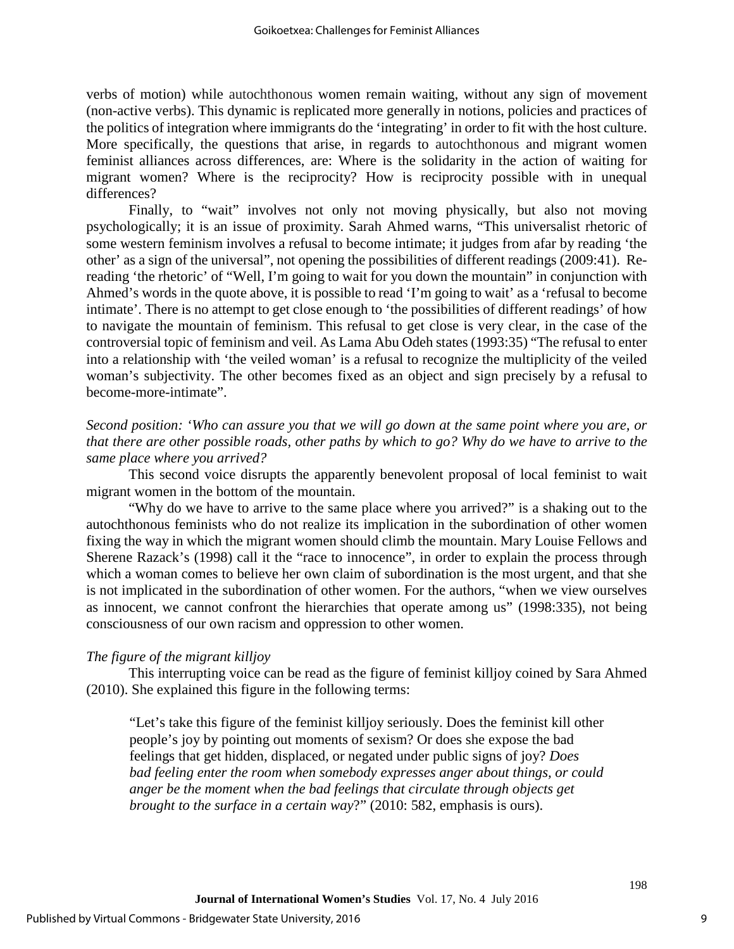verbs of motion) while autochthonous women remain waiting, without any sign of movement (non-active verbs). This dynamic is replicated more generally in notions, policies and practices of the politics of integration where immigrants do the 'integrating' in order to fit with the host culture. More specifically, the questions that arise, in regards to autochthonous and migrant women feminist alliances across differences, are: Where is the solidarity in the action of waiting for migrant women? Where is the reciprocity? How is reciprocity possible with in unequal differences?

Finally, to "wait" involves not only not moving physically, but also not moving psychologically; it is an issue of proximity. Sarah Ahmed warns, "This universalist rhetoric of some western feminism involves a refusal to become intimate; it judges from afar by reading 'the other' as a sign of the universal", not opening the possibilities of different readings (2009:41). Rereading 'the rhetoric' of "Well, I'm going to wait for you down the mountain" in conjunction with Ahmed's words in the quote above, it is possible to read 'I'm going to wait' as a 'refusal to become intimate'. There is no attempt to get close enough to 'the possibilities of different readings' of how to navigate the mountain of feminism. This refusal to get close is very clear, in the case of the controversial topic of feminism and veil. As Lama Abu Odeh states (1993:35) "The refusal to enter into a relationship with 'the veiled woman' is a refusal to recognize the multiplicity of the veiled woman's subjectivity. The other becomes fixed as an object and sign precisely by a refusal to become-more-intimate".

*Second position: 'Who can assure you that we will go down at the same point where you are, or that there are other possible roads, other paths by which to go? Why do we have to arrive to the same place where you arrived?*

This second voice disrupts the apparently benevolent proposal of local feminist to wait migrant women in the bottom of the mountain.

"Why do we have to arrive to the same place where you arrived?" is a shaking out to the autochthonous feminists who do not realize its implication in the subordination of other women fixing the way in which the migrant women should climb the mountain. Mary Louise Fellows and Sherene Razack's (1998) call it the "race to innocence", in order to explain the process through which a woman comes to believe her own claim of subordination is the most urgent, and that she is not implicated in the subordination of other women. For the authors, "when we view ourselves as innocent, we cannot confront the hierarchies that operate among us" (1998:335), not being consciousness of our own racism and oppression to other women.

# *The figure of the migrant killjoy*

This interrupting voice can be read as the figure of feminist killjoy coined by Sara Ahmed (2010). She explained this figure in the following terms:

"Let's take this figure of the feminist killjoy seriously. Does the feminist kill other people's joy by pointing out moments of sexism? Or does she expose the bad feelings that get hidden, displaced, or negated under public signs of joy? *Does bad feeling enter the room when somebody expresses anger about things, or could anger be the moment when the bad feelings that circulate through objects get brought to the surface in a certain way*?" (2010: 582, emphasis is ours).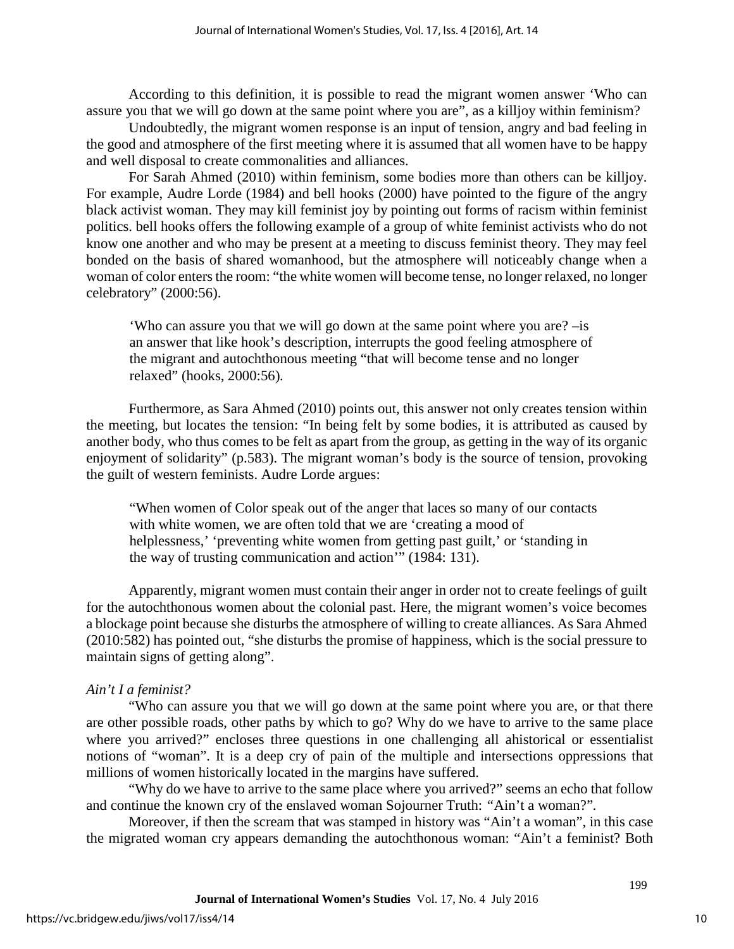According to this definition, it is possible to read the migrant women answer 'Who can assure you that we will go down at the same point where you are", as a killjoy within feminism?

Undoubtedly, the migrant women response is an input of tension, angry and bad feeling in the good and atmosphere of the first meeting where it is assumed that all women have to be happy and well disposal to create commonalities and alliances.

For Sarah Ahmed (2010) within feminism, some bodies more than others can be killjoy. For example, Audre Lorde (1984) and bell hooks (2000) have pointed to the figure of the angry black activist woman. They may kill feminist joy by pointing out forms of racism within feminist politics. bell hooks offers the following example of a group of white feminist activists who do not know one another and who may be present at a meeting to discuss feminist theory. They may feel bonded on the basis of shared womanhood, but the atmosphere will noticeably change when a woman of color enters the room: "the white women will become tense, no longer relaxed, no longer celebratory" (2000:56).

'Who can assure you that we will go down at the same point where you are? –is an answer that like hook's description, interrupts the good feeling atmosphere of the migrant and autochthonous meeting "that will become tense and no longer relaxed" (hooks, 2000:56)*.* 

Furthermore, as Sara Ahmed (2010) points out, this answer not only creates tension within the meeting, but locates the tension: "In being felt by some bodies, it is attributed as caused by another body, who thus comes to be felt as apart from the group, as getting in the way of its organic enjoyment of solidarity" (p.583). The migrant woman's body is the source of tension, provoking the guilt of western feminists. Audre Lorde argues:

"When women of Color speak out of the anger that laces so many of our contacts with white women, we are often told that we are 'creating a mood of helplessness,' 'preventing white women from getting past guilt,' or 'standing in the way of trusting communication and action'" (1984: 131).

Apparently, migrant women must contain their anger in order not to create feelings of guilt for the autochthonous women about the colonial past. Here, the migrant women's voice becomes a blockage point because she disturbs the atmosphere of willing to create alliances. As Sara Ahmed (2010:582) has pointed out, "she disturbs the promise of happiness, which is the social pressure to maintain signs of getting along".

# *Ain't I a feminist?*

"Who can assure you that we will go down at the same point where you are, or that there are other possible roads, other paths by which to go? Why do we have to arrive to the same place where you arrived?" encloses three questions in one challenging all ahistorical or essentialist notions of "woman". It is a deep cry of pain of the multiple and intersections oppressions that millions of women historically located in the margins have suffered.

"Why do we have to arrive to the same place where you arrived?" seems an echo that follow and continue the known cry of the enslaved woman Sojourner Truth: *"*Ain't a woman?"*.*

Moreover, if then the scream that was stamped in history was "Ain't a woman", in this case the migrated woman cry appears demanding the autochthonous woman: "Ain't a feminist? Both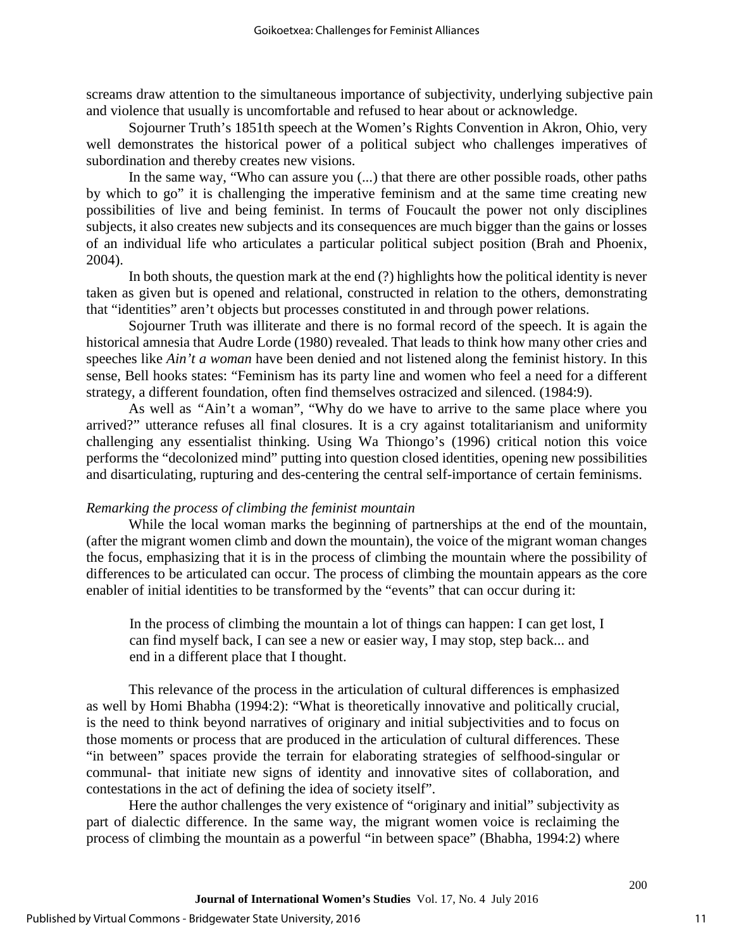screams draw attention to the simultaneous importance of subjectivity, underlying subjective pain and violence that usually is uncomfortable and refused to hear about or acknowledge.

Sojourner Truth's 1851th speech at the Women's Rights Convention in Akron, Ohio, very well demonstrates the historical power of a political subject who challenges imperatives of subordination and thereby creates new visions.

In the same way, "Who can assure you (...) that there are other possible roads, other paths by which to go" it is challenging the imperative feminism and at the same time creating new possibilities of live and being feminist. In terms of Foucault the power not only disciplines subjects, it also creates new subjects and its consequences are much bigger than the gains or losses of an individual life who articulates a particular political subject position (Brah and Phoenix, 2004).

In both shouts, the question mark at the end (?) highlights how the political identity is never taken as given but is opened and relational, constructed in relation to the others, demonstrating that "identities" aren't objects but processes constituted in and through power relations.

Sojourner Truth was illiterate and there is no formal record of the speech. It is again the historical amnesia that Audre Lorde (1980) revealed. That leads to think how many other cries and speeches like *Ain't a woman* have been denied and not listened along the feminist history. In this sense, Bell hooks states: "Feminism has its party line and women who feel a need for a different strategy, a different foundation, often find themselves ostracized and silenced. (1984:9).

As well as *"*Ain't a woman", "Why do we have to arrive to the same place where you arrived?" utterance refuses all final closures. It is a cry against totalitarianism and uniformity challenging any essentialist thinking. Using Wa Thiongo's (1996) critical notion this voice performs the "decolonized mind" putting into question closed identities, opening new possibilities and disarticulating, rupturing and des-centering the central self-importance of certain feminisms.

# *Remarking the process of climbing the feminist mountain*

While the local woman marks the beginning of partnerships at the end of the mountain, (after the migrant women climb and down the mountain), the voice of the migrant woman changes the focus, emphasizing that it is in the process of climbing the mountain where the possibility of differences to be articulated can occur. The process of climbing the mountain appears as the core enabler of initial identities to be transformed by the "events" that can occur during it:

In the process of climbing the mountain a lot of things can happen: I can get lost, I can find myself back, I can see a new or easier way, I may stop, step back... and end in a different place that I thought.

This relevance of the process in the articulation of cultural differences is emphasized as well by Homi Bhabha (1994:2): "What is theoretically innovative and politically crucial, is the need to think beyond narratives of originary and initial subjectivities and to focus on those moments or process that are produced in the articulation of cultural differences. These "in between" spaces provide the terrain for elaborating strategies of selfhood-singular or communal- that initiate new signs of identity and innovative sites of collaboration, and contestations in the act of defining the idea of society itself".

Here the author challenges the very existence of "originary and initial" subjectivity as part of dialectic difference. In the same way, the migrant women voice is reclaiming the process of climbing the mountain as a powerful "in between space" (Bhabha, 1994:2) where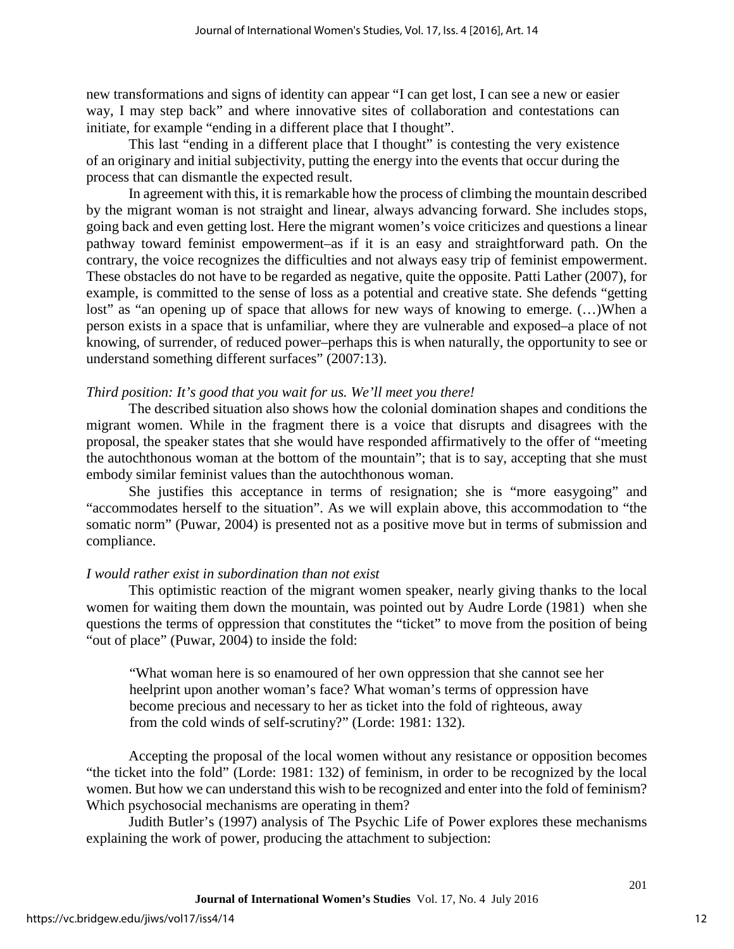new transformations and signs of identity can appear "I can get lost, I can see a new or easier way, I may step back" and where innovative sites of collaboration and contestations can initiate, for example "ending in a different place that I thought".

This last "ending in a different place that I thought" is contesting the very existence of an originary and initial subjectivity, putting the energy into the events that occur during the process that can dismantle the expected result.

In agreement with this, it is remarkable how the process of climbing the mountain described by the migrant woman is not straight and linear, always advancing forward. She includes stops, going back and even getting lost. Here the migrant women's voice criticizes and questions a linear pathway toward feminist empowerment–as if it is an easy and straightforward path. On the contrary, the voice recognizes the difficulties and not always easy trip of feminist empowerment. These obstacles do not have to be regarded as negative, quite the opposite. Patti Lather (2007), for example, is committed to the sense of loss as a potential and creative state. She defends "getting lost" as "an opening up of space that allows for new ways of knowing to emerge. (...)When a person exists in a space that is unfamiliar, where they are vulnerable and exposed–a place of not knowing, of surrender, of reduced power–perhaps this is when naturally, the opportunity to see or understand something different surfaces" (2007:13).

# *Third position: It's good that you wait for us. We'll meet you there!*

The described situation also shows how the colonial domination shapes and conditions the migrant women. While in the fragment there is a voice that disrupts and disagrees with the proposal, the speaker states that she would have responded affirmatively to the offer of "meeting the autochthonous woman at the bottom of the mountain"; that is to say, accepting that she must embody similar feminist values than the autochthonous woman.

She justifies this acceptance in terms of resignation; she is "more easygoing" and "accommodates herself to the situation". As we will explain above, this accommodation to "the somatic norm" (Puwar, 2004) is presented not as a positive move but in terms of submission and compliance.

#### *I would rather exist in subordination than not exist*

This optimistic reaction of the migrant women speaker, nearly giving thanks to the local women for waiting them down the mountain, was pointed out by Audre Lorde (1981) when she questions the terms of oppression that constitutes the "ticket" to move from the position of being "out of place" (Puwar, 2004) to inside the fold:

"What woman here is so enamoured of her own oppression that she cannot see her heelprint upon another woman's face? What woman's terms of oppression have become precious and necessary to her as ticket into the fold of righteous, away from the cold winds of self-scrutiny?" (Lorde: 1981: 132).

Accepting the proposal of the local women without any resistance or opposition becomes "the ticket into the fold" (Lorde: 1981: 132) of feminism, in order to be recognized by the local women. But how we can understand this wish to be recognized and enter into the fold of feminism? Which psychosocial mechanisms are operating in them?

Judith Butler's (1997) analysis of The Psychic Life of Power explores these mechanisms explaining the work of power, producing the attachment to subjection: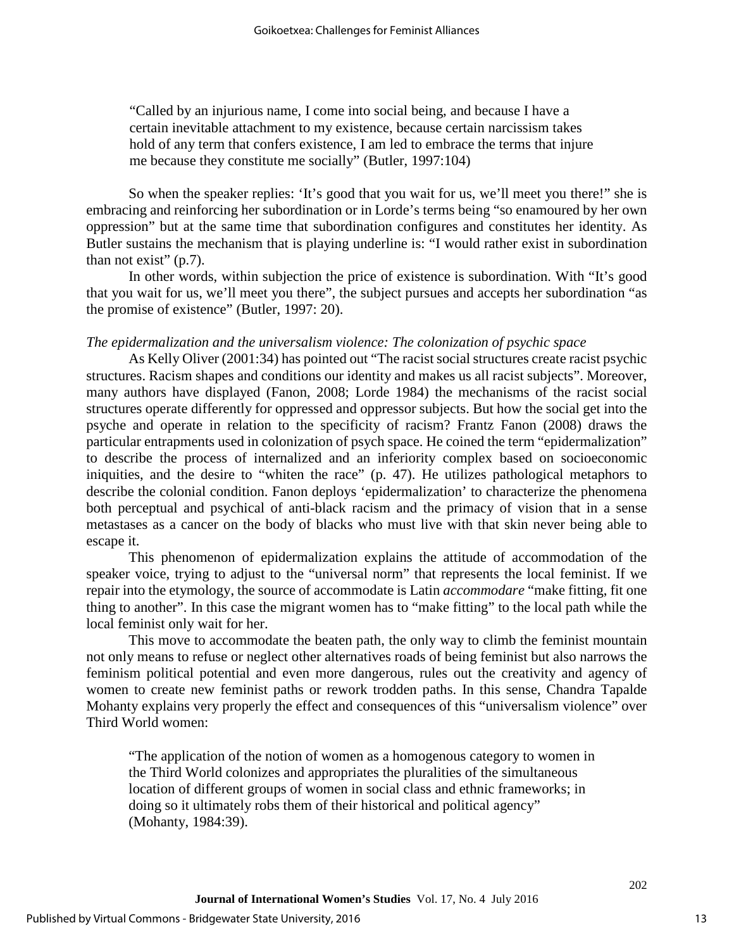"Called by an injurious name, I come into social being, and because I have a certain inevitable attachment to my existence, because certain narcissism takes hold of any term that confers existence, I am led to embrace the terms that injure me because they constitute me socially" (Butler, 1997:104)

So when the speaker replies: 'It's good that you wait for us, we'll meet you there!" she is embracing and reinforcing her subordination or in Lorde's terms being "so enamoured by her own oppression" but at the same time that subordination configures and constitutes her identity. As Butler sustains the mechanism that is playing underline is: "I would rather exist in subordination than not exist"  $(p.7)$ .

In other words, within subjection the price of existence is subordination. With "It's good that you wait for us, we'll meet you there", the subject pursues and accepts her subordination "as the promise of existence" (Butler, 1997: 20).

#### *The epidermalization and the universalism violence: The colonization of psychic space*

As Kelly Oliver (2001:34) has pointed out "The racist social structures create racist psychic structures. Racism shapes and conditions our identity and makes us all racist subjects". Moreover, many authors have displayed (Fanon, 2008; Lorde 1984) the mechanisms of the racist social structures operate differently for oppressed and oppressor subjects. But how the social get into the psyche and operate in relation to the specificity of racism? Frantz Fanon (2008) draws the particular entrapments used in colonization of psych space. He coined the term "epidermalization" to describe the process of internalized and an inferiority complex based on socioeconomic iniquities, and the desire to "whiten the race" (p. 47). He utilizes pathological metaphors to describe the colonial condition. Fanon deploys 'epidermalization' to characterize the phenomena both perceptual and psychical of anti-black racism and the primacy of vision that in a sense metastases as a cancer on the body of blacks who must live with that skin never being able to escape it.

This phenomenon of epidermalization explains the attitude of accommodation of the speaker voice, trying to adjust to the "universal norm" that represents the local feminist. If we repair into the etymology, the source of accommodate is Latin *accommodare* "make fitting, fit one thing to another". In this case the migrant women has to "make fitting" to the local path while the local feminist only wait for her.

This move to accommodate the beaten path, the only way to climb the feminist mountain not only means to refuse or neglect other alternatives roads of being feminist but also narrows the feminism political potential and even more dangerous, rules out the creativity and agency of women to create new feminist paths or rework trodden paths. In this sense, Chandra Tapalde Mohanty explains very properly the effect and consequences of this "universalism violence" over Third World women:

"The application of the notion of women as a homogenous category to women in the Third World colonizes and appropriates the pluralities of the simultaneous location of different groups of women in social class and ethnic frameworks; in doing so it ultimately robs them of their historical and political agency" (Mohanty, 1984:39).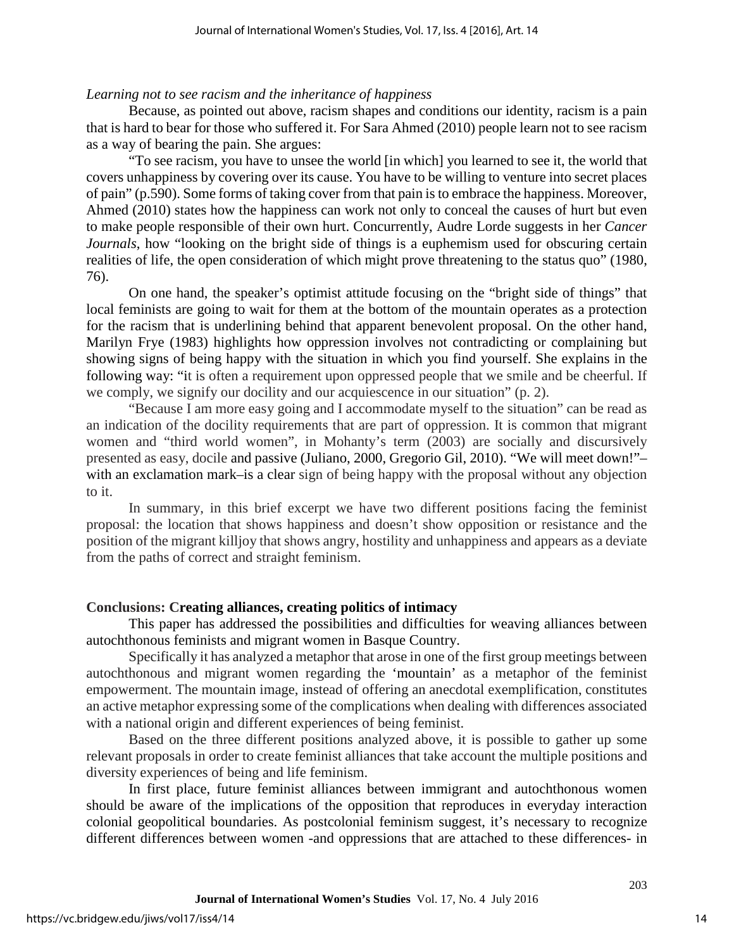#### *Learning not to see racism and the inheritance of happiness*

Because, as pointed out above, racism shapes and conditions our identity, racism is a pain that is hard to bear for those who suffered it. For Sara Ahmed (2010) people learn not to see racism as a way of bearing the pain. She argues:

"To see racism, you have to unsee the world [in which] you learned to see it, the world that covers unhappiness by covering over its cause. You have to be willing to venture into secret places of pain" (p.590). Some forms of taking cover from that pain is to embrace the happiness. Moreover, Ahmed (2010) states how the happiness can work not only to conceal the causes of hurt but even to make people responsible of their own hurt. Concurrently, Audre Lorde suggests in her *Cancer Journals*, how "looking on the bright side of things is a euphemism used for obscuring certain realities of life, the open consideration of which might prove threatening to the status quo" (1980, 76).

On one hand, the speaker's optimist attitude focusing on the "bright side of things" that local feminists are going to wait for them at the bottom of the mountain operates as a protection for the racism that is underlining behind that apparent benevolent proposal. On the other hand, Marilyn Frye (1983) highlights how oppression involves not contradicting or complaining but showing signs of being happy with the situation in which you find yourself. She explains in the following way: "it is often a requirement upon oppressed people that we smile and be cheerful. If we comply, we signify our docility and our acquiescence in our situation" (p. 2).

"Because I am more easy going and I accommodate myself to the situation" can be read as an indication of the docility requirements that are part of oppression. It is common that migrant women and "third world women", in Mohanty's term (2003) are socially and discursively presented as easy, docile and passive (Juliano, 2000, Gregorio Gil, 2010). "We will meet down!"– with an exclamation mark–is a clear sign of being happy with the proposal without any objection to it.

In summary, in this brief excerpt we have two different positions facing the feminist proposal: the location that shows happiness and doesn't show opposition or resistance and the position of the migrant killjoy that shows angry, hostility and unhappiness and appears as a deviate from the paths of correct and straight feminism.

#### **Conclusions: Creating alliances, creating politics of intimacy**

This paper has addressed the possibilities and difficulties for weaving alliances between autochthonous feminists and migrant women in Basque Country.

Specifically it has analyzed a metaphor that arose in one of the first group meetings between autochthonous and migrant women regarding the 'mountain' as a metaphor of the feminist empowerment. The mountain image, instead of offering an anecdotal exemplification, constitutes an active metaphor expressing some of the complications when dealing with differences associated with a national origin and different experiences of being feminist.

Based on the three different positions analyzed above, it is possible to gather up some relevant proposals in order to create feminist alliances that take account the multiple positions and diversity experiences of being and life feminism.

In first place, future feminist alliances between immigrant and autochthonous women should be aware of the implications of the opposition that reproduces in everyday interaction colonial geopolitical boundaries. As postcolonial feminism suggest, it's necessary to recognize different differences between women -and oppressions that are attached to these differences- in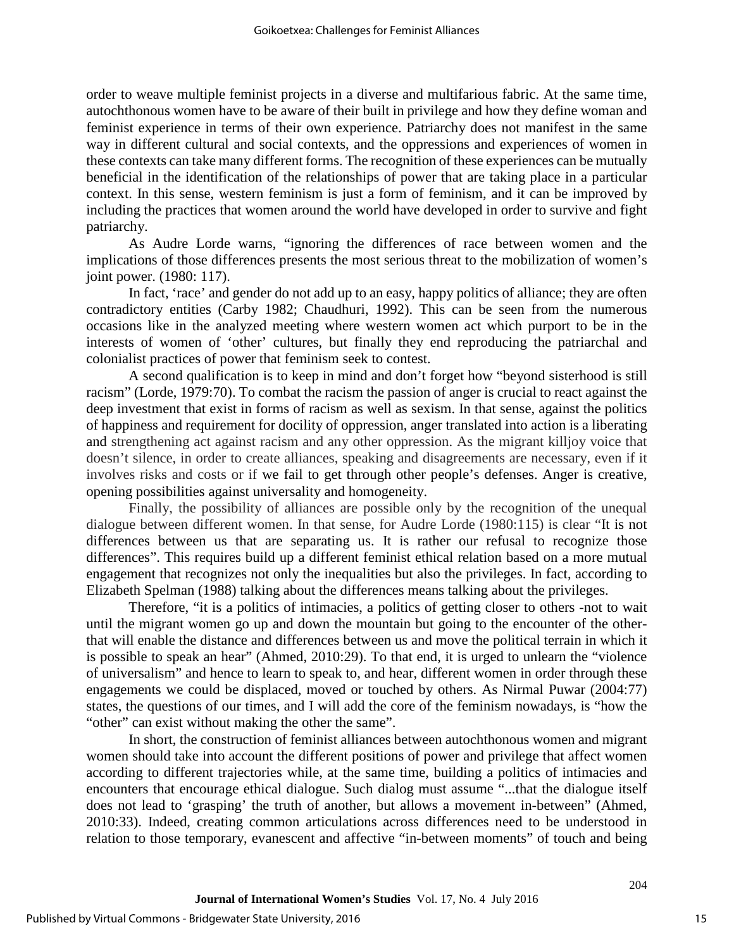order to weave multiple feminist projects in a diverse and multifarious fabric. At the same time, autochthonous women have to be aware of their built in privilege and how they define woman and feminist experience in terms of their own experience. Patriarchy does not manifest in the same way in different cultural and social contexts, and the oppressions and experiences of women in these contexts can take many different forms. The recognition of these experiences can be mutually beneficial in the identification of the relationships of power that are taking place in a particular context. In this sense, western feminism is just a form of feminism, and it can be improved by including the practices that women around the world have developed in order to survive and fight patriarchy.

As Audre Lorde warns, "ignoring the differences of race between women and the implications of those differences presents the most serious threat to the mobilization of women's joint power. (1980: 117).

In fact, 'race' and gender do not add up to an easy, happy politics of alliance; they are often contradictory entities (Carby 1982; Chaudhuri, 1992). This can be seen from the numerous occasions like in the analyzed meeting where western women act which purport to be in the interests of women of 'other' cultures, but finally they end reproducing the patriarchal and colonialist practices of power that feminism seek to contest.

A second qualification is to keep in mind and don't forget how "beyond sisterhood is still racism" (Lorde, 1979:70). To combat the racism the passion of anger is crucial to react against the deep investment that exist in forms of racism as well as sexism. In that sense, against the politics of happiness and requirement for docility of oppression, anger translated into action is a liberating and strengthening act against racism and any other oppression. As the migrant killjoy voice that doesn't silence, in order to create alliances, speaking and disagreements are necessary, even if it involves risks and costs or if we fail to get through other people's defenses. Anger is creative, opening possibilities against universality and homogeneity.

Finally, the possibility of alliances are possible only by the recognition of the unequal dialogue between different women. In that sense, for Audre Lorde (1980:115) is clear "It is not differences between us that are separating us. It is rather our refusal to recognize those differences". This requires build up a different feminist ethical relation based on a more mutual engagement that recognizes not only the inequalities but also the privileges. In fact, according to Elizabeth Spelman (1988) talking about the differences means talking about the privileges.

Therefore, "it is a politics of intimacies, a politics of getting closer to others -not to wait until the migrant women go up and down the mountain but going to the encounter of the otherthat will enable the distance and differences between us and move the political terrain in which it is possible to speak an hear" (Ahmed, 2010:29). To that end, it is urged to unlearn the "violence of universalism" and hence to learn to speak to, and hear, different women in order through these engagements we could be displaced, moved or touched by others. As Nirmal Puwar (2004:77) states, the questions of our times, and I will add the core of the feminism nowadays, is "how the "other" can exist without making the other the same".

In short, the construction of feminist alliances between autochthonous women and migrant women should take into account the different positions of power and privilege that affect women according to different trajectories while, at the same time, building a politics of intimacies and encounters that encourage ethical dialogue. Such dialog must assume "...that the dialogue itself does not lead to 'grasping' the truth of another, but allows a movement in-between" (Ahmed, 2010:33). Indeed, creating common articulations across differences need to be understood in relation to those temporary, evanescent and affective "in-between moments" of touch and being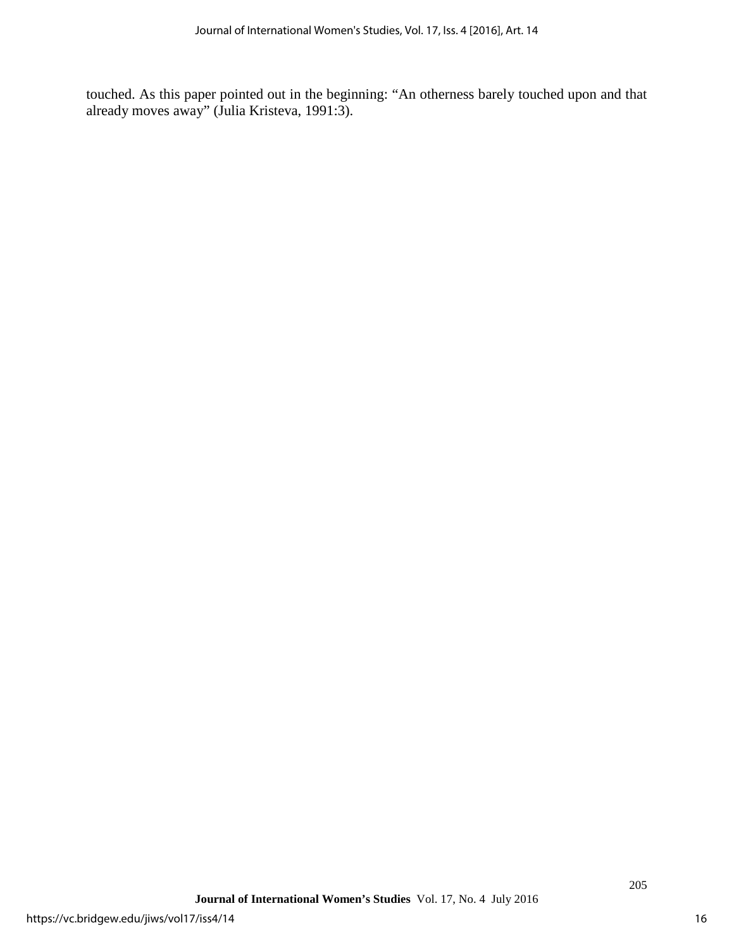touched. As this paper pointed out in the beginning: "An otherness barely touched upon and that already moves away" (Julia Kristeva, 1991:3).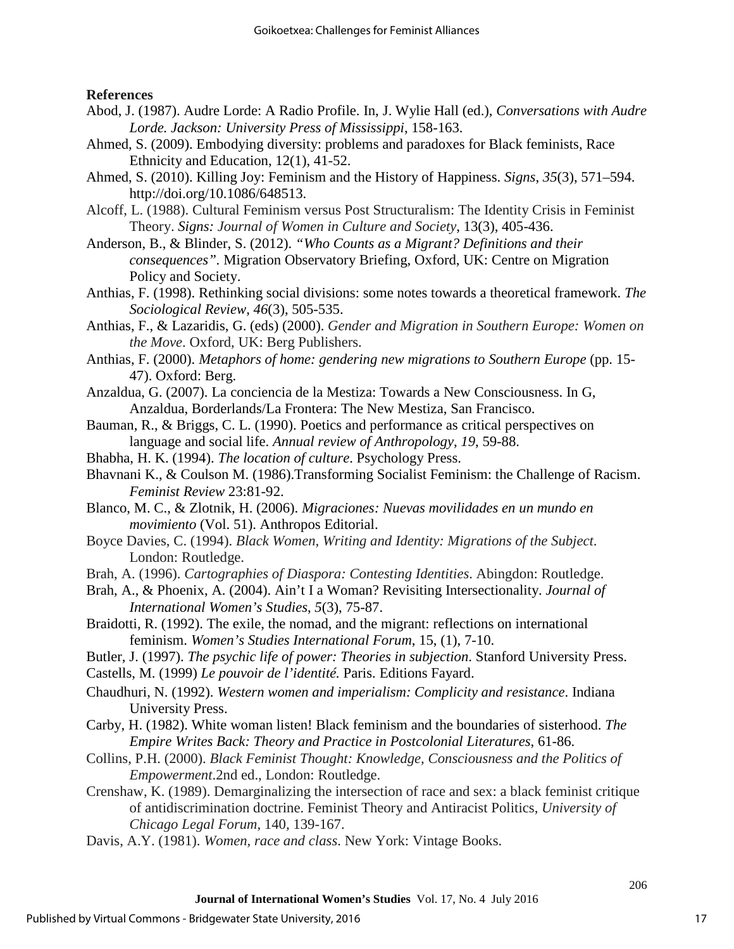**References**

- Abod, J. (1987). Audre Lorde: A Radio Profile. In, J. Wylie Hall (ed.), *Conversations with Audre Lorde. Jackson: University Press of Mississippi*, 158-163.
- Ahmed, S. (2009). Embodying diversity: problems and paradoxes for Black feminists, Race Ethnicity and Education, 12(1), 41-52.
- Ahmed, S. (2010). Killing Joy: Feminism and the History of Happiness. *Signs*, *35*(3), 571–594. http://doi.org/10.1086/648513.
- Alcoff, L. (1988). Cultural Feminism versus Post Structuralism: The Identity Crisis in Feminist Theory. *Signs: Journal of Women in Culture and Society*, 13(3), 405-436.
- Anderson, B., & Blinder, S. (2012). *"Who Counts as a Migrant? Definitions and their consequences".* Migration Observatory Briefing, Oxford, UK: Centre on Migration Policy and Society.
- Anthias, F. (1998). Rethinking social divisions: some notes towards a theoretical framework. *The Sociological Review*, *46*(3), 505-535.
- Anthias, F., & Lazaridis, G. (eds) (2000). *Gender and Migration in Southern Europe: Women on the Move*. Oxford, UK: Berg Publishers.
- Anthias, F. (2000). *Metaphors of home: gendering new migrations to Southern Europe* (pp. 15- 47). Oxford: Berg.
- Anzaldua, G. (2007). La conciencia de la Mestiza: Towards a New Consciousness. In G, Anzaldua, Borderlands/La Frontera: The New Mestiza, San Francisco.
- Bauman, R., & Briggs, C. L. (1990). Poetics and performance as critical perspectives on language and social life. *Annual review of Anthropology*, *19*, 59-88.
- Bhabha, H. K. (1994). *The location of culture*. Psychology Press.
- Bhavnani K., & Coulson M. (1986).Transforming Socialist Feminism: the Challenge of Racism. *Feminist Review* 23:81-92.
- Blanco, M. C., & Zlotnik, H. (2006). *Migraciones: Nuevas movilidades en un mundo en movimiento* (Vol. 51). Anthropos Editorial.
- Boyce Davies, C. (1994). *Black Women, Writing and Identity: Migrations of the Subject*. London: Routledge.
- Brah, A. (1996). *Cartographies of Diaspora: Contesting Identities*. Abingdon: Routledge.
- Brah, A., & Phoenix, A. (2004). Ain't I a Woman? Revisiting Intersectionality. *Journal of International Women's Studies*, *5*(3), 75-87.
- Braidotti, R. (1992). The exile, the nomad, and the migrant: reflections on international feminism. *Women's Studies International Forum*, 15, (1), 7-10.
- Butler, J. (1997). *The psychic life of power: Theories in subjection*. Stanford University Press.
- Castells, M. (1999) *Le pouvoir de l'identité.* Paris. Editions Fayard.
- Chaudhuri, N. (1992). *Western women and imperialism: Complicity and resistance*. Indiana University Press.
- Carby, H. (1982). White woman listen! Black feminism and the boundaries of sisterhood. *The Empire Writes Back: Theory and Practice in Postcolonial Literatures*, 61-86.
- Collins, P.H. (2000). *Black Feminist Thought: Knowledge, Consciousness and the Politics of Empowerment*.2nd ed., London: Routledge.
- Crenshaw, K. (1989). Demarginalizing the intersection of race and sex: a black feminist critique of antidiscrimination doctrine. Feminist Theory and Antiracist Politics, *University of Chicago Legal Forum,* 140*,* 139-167.
- Davis, A.Y. (1981). *Women, race and class*. New York: Vintage Books.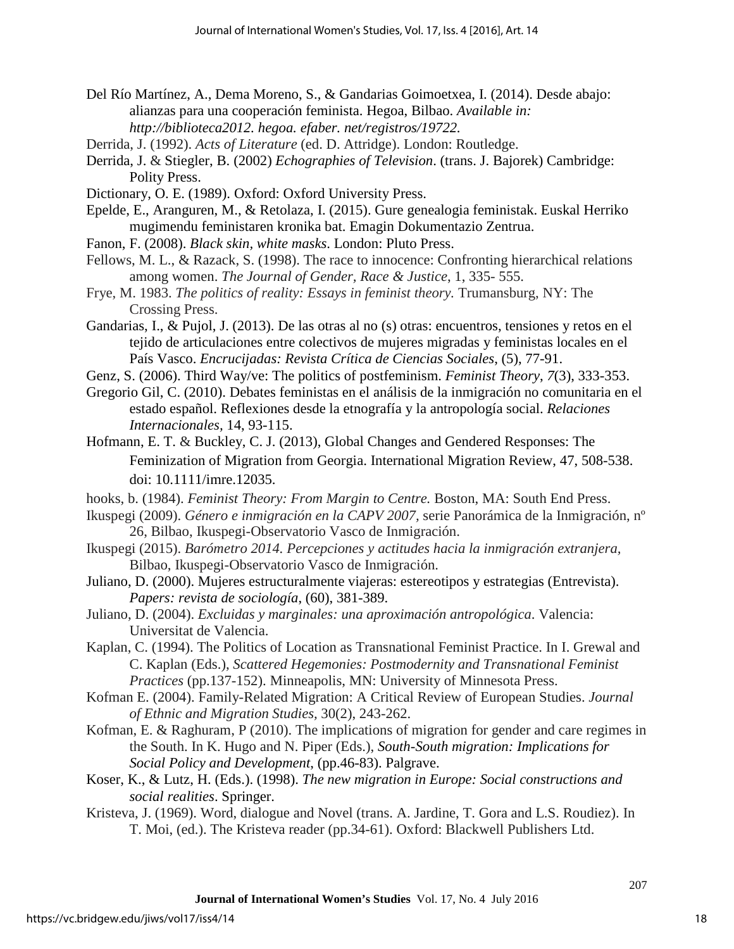- Del Río Martínez, A., Dema Moreno, S., & Gandarias Goimoetxea, I. (2014). Desde abajo: alianzas para una cooperación feminista. Hegoa, Bilbao. *Available in: http://biblioteca2012. hegoa. efaber. net/registros/19722.*
- Derrida, J. (1992). *Acts of Literature* (ed. D. Attridge). London: Routledge.
- Derrida, J. & Stiegler, B. (2002) *Echographies of Television*. (trans. J. Bajorek) Cambridge: Polity Press.
- Dictionary, O. E. (1989). Oxford: Oxford University Press.
- Epelde, E., Aranguren, M., & Retolaza, I. (2015). Gure genealogia feministak. Euskal Herriko mugimendu feministaren kronika bat. Emagin Dokumentazio Zentrua.
- Fanon, F. (2008). *Black skin, white masks*. London: Pluto Press.
- Fellows, M. L., & Razack, S. (1998). The race to innocence: Confronting hierarchical relations among women. *The Journal of Gender, Race & Justice*, 1, 335- 555.
- Frye, M. 1983. *The politics of reality: Essays in feminist theory.* Trumansburg, NY: The Crossing Press.
- Gandarias, I., & Pujol, J. (2013). De las otras al no (s) otras: encuentros, tensiones y retos en el tejido de articulaciones entre colectivos de mujeres migradas y feministas locales en el País Vasco. *Encrucijadas: Revista Crítica de Ciencias Sociales*, (5), 77-91.
- Genz, S. (2006). Third Way/ve: The politics of postfeminism. *Feminist Theory*, *7*(3), 333-353.
- Gregorio Gil, C. (2010). Debates feministas en el análisis de la inmigración no comunitaria en el estado español. Reflexiones desde la etnografía y la antropología social. *Relaciones Internacionales,* 14, 93-115.
- Hofmann, E. T. & Buckley, C. J. (2013), Global Changes and Gendered Responses: The Feminization of Migration from Georgia. International Migration Review, 47, 508-538. doi: 10.1111/imre.12035.
- hooks, b. (1984). *Feminist Theory: From Margin to Centre.* Boston, MA: South End Press.
- Ikuspegi (2009). *Género e inmigración en la CAPV 2007,* serie Panorámica de la Inmigración, nº 26, Bilbao, Ikuspegi-Observatorio Vasco de Inmigración.
- Ikuspegi (2015). *Barómetro 2014. Percepciones y actitudes hacia la inmigración extranjera,*  Bilbao, Ikuspegi-Observatorio Vasco de Inmigración.
- Juliano, D. (2000). Mujeres estructuralmente viajeras: estereotipos y estrategias (Entrevista). *Papers: revista de sociología*, (60), 381-389.
- Juliano, D. (2004). *Excluidas y marginales: una aproximación antropológica*. Valencia: Universitat de Valencia.
- Kaplan, C. (1994). The Politics of Location as Transnational Feminist Practice. In I. Grewal and C. Kaplan (Eds.), *Scattered Hegemonies: Postmodernity and Transnational Feminist Practices* (pp.137-152). Minneapolis, MN: University of Minnesota Press.
- Kofman E. (2004). Family-Related Migration: A Critical Review of European Studies. *Journal of Ethnic and Migration Studies,* 30(2), 243-262.
- Kofman, E. & Raghuram, P (2010). The implications of migration for gender and care regimes in the South. In K. Hugo and N. Piper (Eds.), *South-South migration: Implications for Social Policy and Development*, (pp.46-83). Palgrave.
- Koser, K., & Lutz, H. (Eds.). (1998). *The new migration in Europe: Social constructions and social realities*. Springer.
- Kristeva, J. (1969). Word, dialogue and Novel (trans. A. Jardine, T. Gora and L.S. Roudiez). In T. Moi, (ed.). The Kristeva reader (pp.34-61). Oxford: Blackwell Publishers Ltd.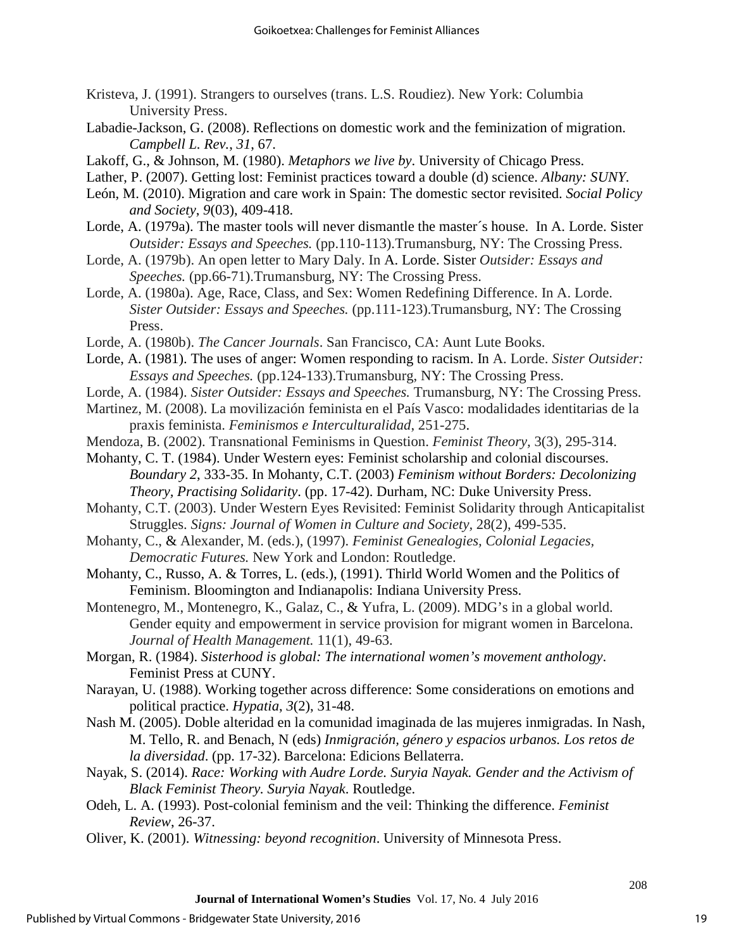- Kristeva, J. (1991). Strangers to ourselves (trans. L.S. Roudiez). New York: Columbia University Press.
- Labadie-Jackson, G. (2008). Reflections on domestic work and the feminization of migration. *Campbell L. Rev.*, *31*, 67.
- Lakoff, G., & Johnson, M. (1980). *Metaphors we live by*. University of Chicago Press.
- Lather, P. (2007). Getting lost: Feminist practices toward a double (d) science. *Albany: SUNY.*
- León, M. (2010). Migration and care work in Spain: The domestic sector revisited. *Social Policy and Society*, *9*(03), 409-418.
- Lorde, A. (1979a). The master tools will never dismantle the master´s house. In A. Lorde. Sister *Outsider: Essays and Speeches.* (pp.110-113).Trumansburg, NY: The Crossing Press.
- Lorde, A. (1979b). An open letter to Mary Daly. In A. Lorde. Sister *Outsider: Essays and Speeches.* (pp.66-71).Trumansburg, NY: The Crossing Press.
- Lorde, A. (1980a). Age, Race, Class, and Sex: Women Redefining Difference. In A. Lorde. *Sister Outsider: Essays and Speeches.* (pp.111-123).Trumansburg, NY: The Crossing Press.
- Lorde, A. (1980b). *The Cancer Journals*. San Francisco, CA: Aunt Lute Books.
- Lorde, A. (1981). The uses of anger: Women responding to racism. In A. Lorde. *Sister Outsider: Essays and Speeches.* (pp.124-133).Trumansburg, NY: The Crossing Press.
- Lorde, A. (1984). *Sister Outsider: Essays and Speeches.* Trumansburg, NY: The Crossing Press.
- Martinez, M. (2008). La movilización feminista en el País Vasco: modalidades identitarias de la praxis feminista. *Feminismos e Interculturalidad*, 251-275.
- Mendoza, B. (2002). Transnational Feminisms in Question. *Feminist Theory,* 3(3), 295-314.
- Mohanty, C. T. (1984). Under Western eyes: Feminist scholarship and colonial discourses. *Boundary 2*, 333-35. In Mohanty, C.T. (2003) *Feminism without Borders: Decolonizing Theory, Practising Solidarity*. (pp. 17-42). Durham, NC: Duke University Press.
- Mohanty, C.T. (2003). Under Western Eyes Revisited: Feminist Solidarity through Anticapitalist Struggles. *Signs: Journal of Women in Culture and Society,* 28(2), 499-535.
- Mohanty, C., & Alexander, M. (eds.), (1997). *Feminist Genealogies, Colonial Legacies, Democratic Futures.* New York and London: Routledge.
- Mohanty, C., Russo, A. & Torres, L. (eds.), (1991). Thirld World Women and the Politics of Feminism. Bloomington and Indianapolis: Indiana University Press.
- Montenegro, M., Montenegro, K., Galaz, C., & Yufra, L. (2009). MDG's in a global world. Gender equity and empowerment in service provision for migrant women in Barcelona. *Journal of Health Management.* 11(1), 49-63.
- Morgan, R. (1984). *Sisterhood is global: The international women's movement anthology*. Feminist Press at CUNY.
- Narayan, U. (1988). Working together across difference: Some considerations on emotions and political practice. *Hypatia*, *3*(2), 31-48.
- Nash M. (2005). Doble alteridad en la comunidad imaginada de las mujeres inmigradas. In Nash, M. Tello, R. and Benach, N (eds) *Inmigración, género y espacios urbanos. Los retos de la diversidad*. (pp. 17-32). Barcelona: Edicions Bellaterra.
- Nayak, S. (2014). *Race: Working with Audre Lorde. Suryia Nayak. Gender and the Activism of Black Feminist Theory. Suryia Nayak*. Routledge.
- Odeh, L. A. (1993). Post-colonial feminism and the veil: Thinking the difference. *Feminist Review*, 26-37.
- Oliver, K. (2001). *Witnessing: beyond recognition*. University of Minnesota Press.